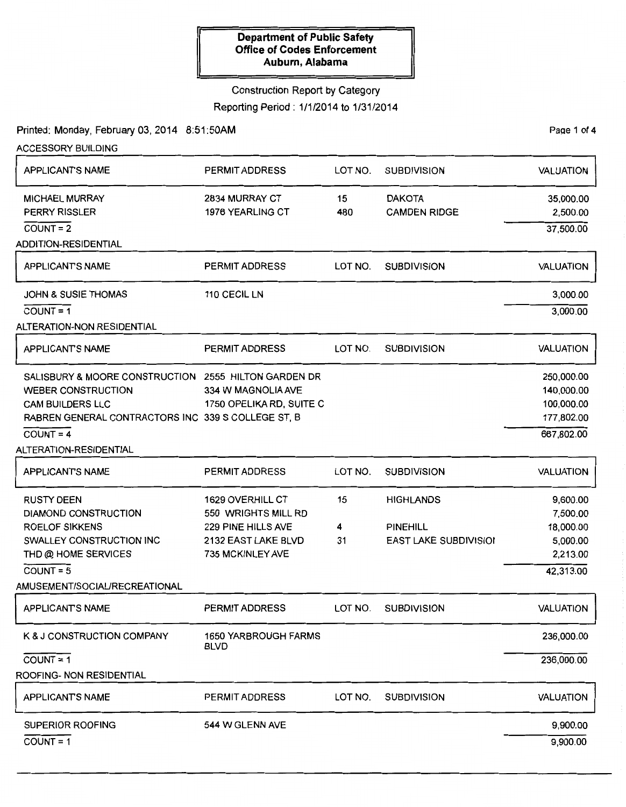#### Construction Report by Category

Reporting Period : 1/1/2014 to 1/31/2014

Printed: Monday, February 03, 2014 8:51:50AM

PaQe 1 of 4

9,900.00

| <b>ACCESSORY BUILDING</b>                            |                                            |         |                              |                  |  |
|------------------------------------------------------|--------------------------------------------|---------|------------------------------|------------------|--|
| APPLICANTS NAME                                      | <b>PERMIT ADDRESS</b>                      | LOT NO. | <b>SUBDIVISION</b>           | <b>VALUATION</b> |  |
| <b>MICHAEL MURRAY</b>                                | 2834 MURRAY CT                             | 15      | <b>DAKOTA</b>                | 35,000.00        |  |
| <b>PERRY RISSLER</b>                                 | 1976 YEARLING CT                           | 480     | <b>CAMDEN RIDGE</b>          | 2,500.00         |  |
| $COUNT = 2$                                          |                                            |         |                              | 37,500.00        |  |
| <b>ADDITION-RESIDENTIAL</b>                          |                                            |         |                              |                  |  |
| <b>APPLICANTS NAME</b>                               | <b>PERMIT ADDRESS</b>                      | LOT NO. | <b>SUBDIVISION</b>           | <b>VALUATION</b> |  |
| <b>JOHN &amp; SUSIE THOMAS</b>                       | 110 CECIL LN                               |         |                              | 3,000.00         |  |
| $COUNT = 1$                                          |                                            |         |                              | 3,000.00         |  |
| ALTERATION-NON RESIDENTIAL                           |                                            |         |                              |                  |  |
| APPLICANTS NAME                                      | PERMIT ADDRESS                             | LOT NO. | <b>SUBDIVISION</b>           | <b>VALUATION</b> |  |
| SALISBURY & MOORE CONSTRUCTION 2555 HILTON GARDEN DR |                                            |         |                              | 250,000.00       |  |
| <b>WEBER CONSTRUCTION</b>                            | 334 W MAGNOLIA AVE                         |         |                              | 140,000.00       |  |
| <b>CAM BUILDERS LLC</b>                              | 1750 OPELIKA RD, SUITE C                   |         |                              | 100,000.00       |  |
| RABREN GENERAL CONTRACTORS INC 339 S COLLEGE ST, B   |                                            |         |                              | 177,802.00       |  |
| $COUNT = 4$                                          |                                            |         |                              | 667,802.00       |  |
| ALTERATION-RESIDENTIAL                               |                                            |         |                              |                  |  |
| <b>APPLICANTS NAME</b>                               | <b>PERMIT ADDRESS</b>                      | LOT NO. | <b>SUBDIVISION</b>           | <b>VALUATION</b> |  |
| <b>RUSTY DEEN</b>                                    | 1629 OVERHILL CT                           | 15      | <b>HIGHLANDS</b>             | 9,600.00         |  |
| <b>DIAMOND CONSTRUCTION</b>                          | 550 WRIGHTS MILL RD                        |         |                              | 7,500.00         |  |
| <b>ROELOF SIKKENS</b>                                | 229 PINE HILLS AVE                         | 4       | <b>PINEHILL</b>              | 18,000.00        |  |
| SWALLEY CONSTRUCTION INC                             | 2132 EAST LAKE BLVD                        | 31      | <b>EAST LAKE SUBDIVISIOI</b> | 5,000.00         |  |
| THD @ HOME SERVICES                                  | 735 MCKINLEY AVE                           |         |                              | 2,213.00         |  |
| $COUNT = 5$                                          |                                            |         |                              | 42,313.00        |  |
| AMUSEMENT/SOCIAL/RECREATIONAL                        |                                            |         |                              |                  |  |
| <b>APPLICANTS NAME</b>                               | PERMIT ADDRESS                             | LOT NO. | <b>SUBDIVISION</b>           | <b>VALUATION</b> |  |
| K & J CONSTRUCTION COMPANY                           | <b>1650 YARBROUGH FARMS</b><br><b>BLVD</b> |         |                              | 236,000.00       |  |
| $COUNT = 1$                                          |                                            |         |                              | 236,000.00       |  |
| ROOFING- NON RESIDENTIAL                             |                                            |         |                              |                  |  |
| <b>APPLICANTS NAME</b>                               | <b>PERMIT ADDRESS</b>                      | LOT NO. | <b>SUBDIVISION</b>           | <b>VALUATION</b> |  |
| SUPERIOR ROOFING                                     | 544 W GLENN AVE                            |         |                              | 9,900.00         |  |

SUPERIOR ROOFING

COUNT= 1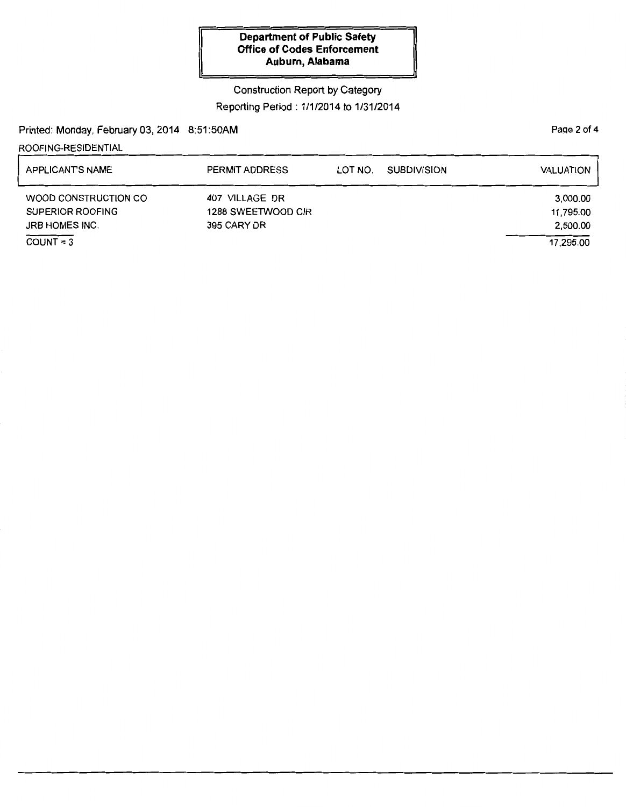# Construction Report by Category Reporting Period: 1/1/2014 to 1/31/2014

Printed: Monday, February 03, 2014 8:51:50AM

### ROOFING-RESIDENTIAL

| APPLICANTS NAME                                                   | PERMIT ADDRESS                                      | LOT NO. | <b>SUBDIVISION</b> | <b>VALUATION</b>                  |
|-------------------------------------------------------------------|-----------------------------------------------------|---------|--------------------|-----------------------------------|
| WOOD CONSTRUCTION CO<br>SUPERIOR ROOFING<br><b>JRB HOMES INC.</b> | 407 VILLAGE DR<br>1288 SWEETWOOD CIR<br>395 CARY DR |         |                    | 3,000.00<br>11,795.00<br>2,500.00 |
| $COUNT = 3$                                                       |                                                     |         |                    | 17.295.00                         |

Page 2 of 4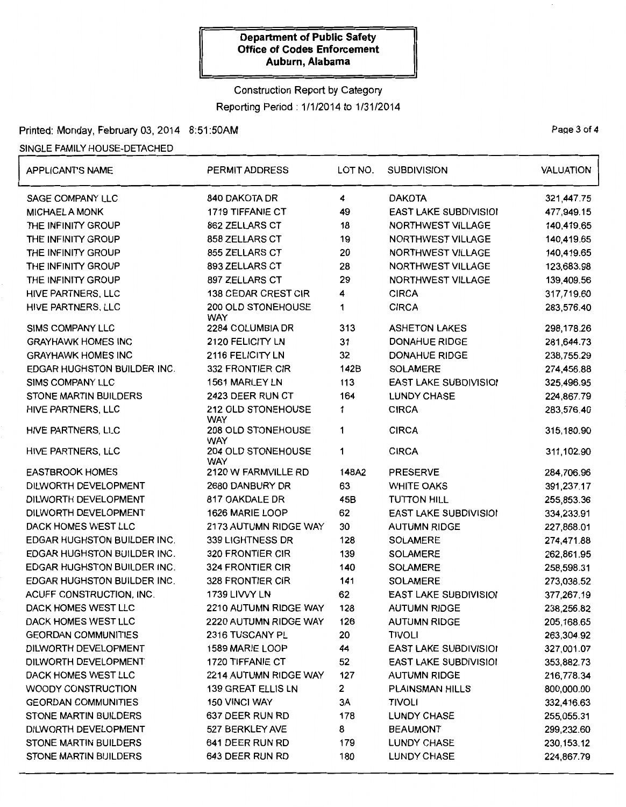# Construction Report by Category Reporting Period: 1/1/2014 to 1/31/2014

## Printed: Monday, February 03, 2014 8:51:50AM

## SINGLE FAMILY HOUSE-DETACHED

| <b>APPLICANTS NAME</b>             | PERMIT ADDRESS                   | LOT NO.      | <b>SUBDIVISION</b>           | <b>VALUATION</b> |
|------------------------------------|----------------------------------|--------------|------------------------------|------------------|
| SAGE COMPANY LLC                   | 840 DAKOTA DR                    | 4            | <b>DAKOTA</b>                | 321,447.75       |
| <b>MICHAEL A MONK</b>              | 1719 TIFFANIE CT                 | 49           | EAST LAKE SUBDIVISIOI        | 477,949.15       |
| THE INFINITY GROUP                 | 862 ZELLARS CT                   | 18           | NORTHWEST VILLAGE            | 140,419.65       |
| THE INFINITY GROUP                 | 858 ZELLARS CT                   | 19           | NORTHWEST VILLAGE            | 140,419.65       |
| THE INFINITY GROUP                 | 855 ZELLARS CT                   | 20           | NORTHWEST VILLAGE            | 140,419.65       |
| THE INFINITY GROUP                 | 893 ZELLARS CT                   | 28           | NORTHWEST VILLAGE            | 123,683.98       |
| THE INFINITY GROUP                 | 897 ZELLARS CT                   | 29           | NORTHWEST VILLAGE            | 139,409.56       |
| HIVE PARTNERS, LLC                 | 138 CEDAR CREST CIR              | 4            | <b>CIRCA</b>                 | 317,719.60       |
| HIVE PARTNERS, LLC                 | 200 OLD STONEHOUSE<br><b>WAY</b> | 1            | <b>CIRCA</b>                 | 283,576.40       |
| SIMS COMPANY LLC                   | 2284 COLUMBIA DR                 | 313          | <b>ASHETON LAKES</b>         | 298,178.26       |
| <b>GRAYHAWK HOMES INC</b>          | 2120 FELICITY LN                 | 31           | <b>DONAHUE RIDGE</b>         | 281,644.73       |
| <b>GRAYHAWK HOMES INC</b>          | 2116 FELICITY LN                 | 32           | <b>DONAHUE RIDGE</b>         | 238,755.29       |
| EDGAR HUGHSTON BUILDER INC.        | 332 FRONTIER CIR                 | 142B         | <b>SOLAMERE</b>              | 274,456.88       |
| SIMS COMPANY LLC                   | 1561 MARLEY LN                   | 113          | EAST LAKE SUBDIVISIO!        | 325,496.95       |
| <b>STONE MARTIN BUILDERS</b>       | 2423 DEER RUN CT                 | 164          | <b>LUNDY CHASE</b>           | 224,867.79       |
| HIVE PARTNERS, LLC                 | 212 OLD STONEHOUSE<br><b>WAY</b> | 1            | <b>CIRCA</b>                 | 283,576.40       |
| HIVE PARTNERS, LLC                 | 208 OLD STONEHOUSE<br><b>WAY</b> | 1            | <b>CIRCA</b>                 | 315,180.90       |
| HIVE PARTNERS, LLC                 | 204 OLD STONEHOUSE<br><b>WAY</b> | 1            | <b>CIRCA</b>                 | 311,102.90       |
| <b>EASTBROOK HOMES</b>             | 2120 W FARMVILLE RD              | 148A2        | <b>PRESERVE</b>              | 284,706.96       |
| DILWORTH DEVELOPMENT               | 2680 DANBURY DR                  | 63           | <b>WHITE OAKS</b>            | 391,237.17       |
| DILWORTH DEVELOPMENT               | 817 OAKDALE DR                   | 45B          | <b>TUTTON HILL</b>           | 255,853.36       |
| DILWORTH DEVELOPMENT               | 1626 MARIE LOOP                  | 62           | <b>EAST LAKE SUBDIVISIOI</b> | 334,233.91       |
| DACK HOMES WEST LLC                | 2173 AUTUMN RIDGE WAY            | 30           | <b>AUTUMN RIDGE</b>          | 227,868.01       |
| EDGAR HUGHSTON BUILDER INC.        | 339 LIGHTNESS DR                 | 128          | <b>SOLAMERE</b>              | 274,471.88       |
| EDGAR HUGHSTON BUILDER INC.        | 320 FRONTIER CIR                 | 139          | <b>SOLAMERE</b>              | 262,861.95       |
| <b>EDGAR HUGHSTON BUILDER INC.</b> | 324 FRONTIER CIR                 | 140          | <b>SOLAMERE</b>              | 258,598.31       |
| EDGAR HUGHSTON BUILDER INC.        | 328 FRONTIER CIR                 | 141          | SOLAMERE                     | 273,038.52       |
| ACUFF CONSTRUCTION, INC.           | 1739 LIVVY LN                    | 62           | <b>EAST LAKE SUBDIVISIO!</b> | 377,267.19       |
| DACK HOMES WEST LLC                | 2210 AUTUMN RIDGE WAY            | 128          | <b>AUTUMN RIDGE</b>          | 238,256.82       |
| DACK HOMES WEST LLC                | 2220 AUTUMN RIDGE WAY            | 126          | <b>AUTUMN RIDGE</b>          | 205,168.65       |
| <b>GEORDAN COMMUNITIES</b>         | 2316 TUSCANY PL                  | 20           | <b>TIVOLI</b>                | 263,304.92       |
| DILWORTH DEVELOPMENT               | 1589 MARIE LOOP                  | 44           | <b>EAST LAKE SUBDIVISION</b> | 327,001.07       |
| DILWORTH DEVELOPMENT               | 1720 TIFFANIE CT                 | 52           | EAST LAKE SUBDIVISIOI        | 353,882.73       |
| DACK HOMES WEST LLC                | 2214 AUTUMN RIDGE WAY            | 127          | <b>AUTUMN RIDGE</b>          | 216,778.34       |
| WOODY CONSTRUCTION                 | 139 GREAT ELLIS LN               | $\mathbf{2}$ | <b>PLAINSMAN HILLS</b>       | 800,000.00       |
| <b>GEORDAN COMMUNITIES</b>         | 150 VINCI WAY                    | 3A           | <b>TIVOLI</b>                | 332,416.63       |
| <b>STONE MARTIN BUILDERS</b>       | 637 DEER RUN RD                  | 178          | <b>LUNDY CHASE</b>           | 255,055.31       |
| DILWORTH DEVELOPMENT               | 527 BERKLEY AVE                  | 8            | <b>BEAUMONT</b>              | 299,232.60       |
| STONE MARTIN BUILDERS              | 641 DEER RUN RD                  | 179          | <b>LUNDY CHASE</b>           | 230, 153. 12     |
| STONE MARTIN BUILDERS              | 643 DEER RUN RD                  | 180          | <b>LUNDY CHASE</b>           | 224,867.79       |

Page 3 of 4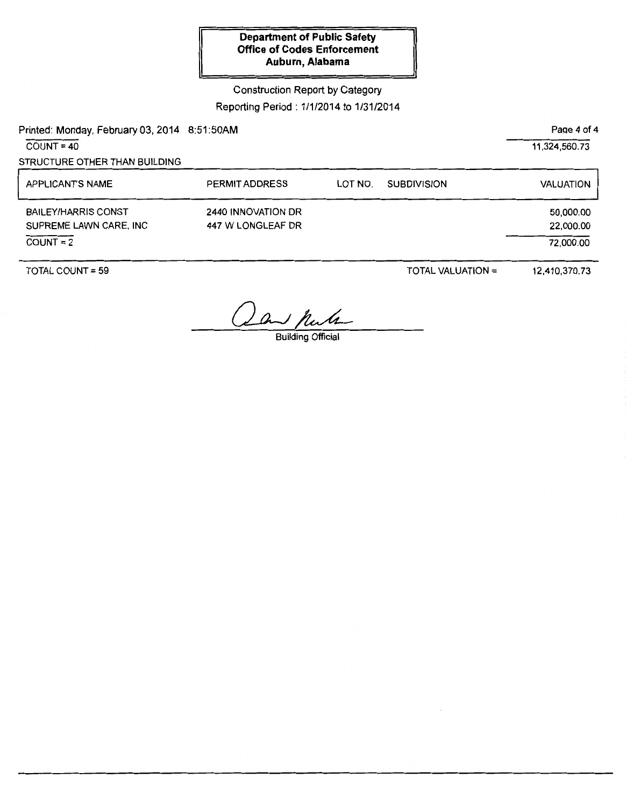## Construction Report by Category Reporting Period: 1/1/2014 to 1/31/2014

Printed: Monday, February 03, 2014 8:51:50AM

 $COUNT = 40$ 

STRUCTURE OTHER THAN BUILDING

| <b>APPLICANTS NAME</b>                                              | <b>PERMIT ADDRESS</b>                   | LOT NO. | <b>SUBDIVISION</b> | VALUATION                           |
|---------------------------------------------------------------------|-----------------------------------------|---------|--------------------|-------------------------------------|
| <b>BAILEY/HARRIS CONST</b><br>SUPREME LAWN CARE, INC<br>$COUNT = 2$ | 2440 INNOVATION DR<br>447 W LONGLEAF DR |         |                    | 50,000.00<br>22,000.00<br>72,000.00 |

TOTAL COUNT= 59

TOTAL VALUATION =

12,410,370.73

a hunte

Paqe 4 of 4

11,324,560.73